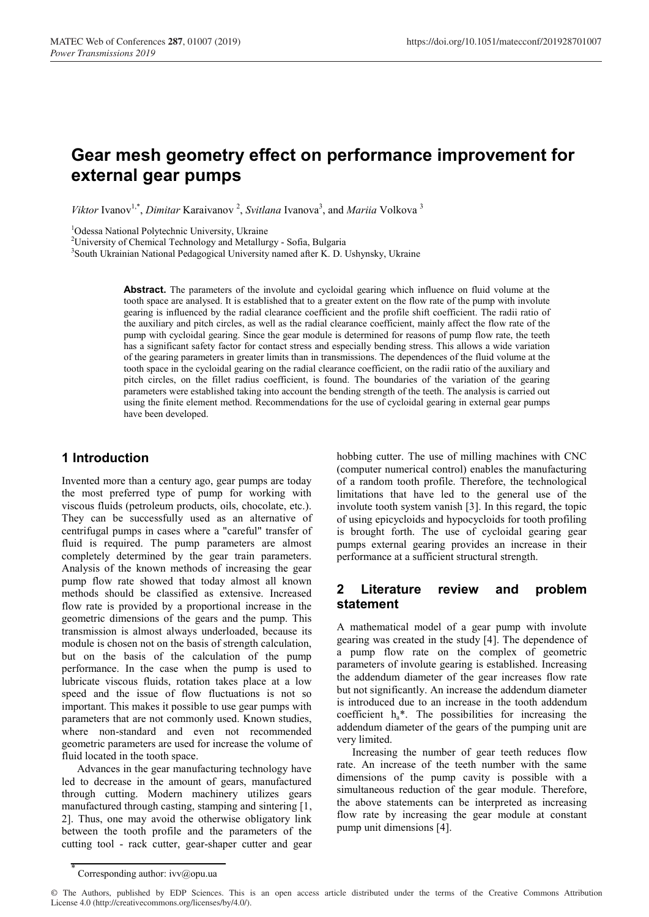# **Gear mesh geometry effect on performance improvement for external gear pumps**

Viktor Ivanov<sup>1,\*</sup>, *Dimitar* Karaivanov<sup>2</sup>, *Svitlana* Ivanova<sup>3</sup>, and *Mariia* Volkova<sup>3</sup>

<sup>1</sup>Odessa National Polytechnic University, Ukraine

<sup>2</sup>University of Chemical Technology and Metallurgy - Sofia, Bulgaria<sup>3</sup>South Ultrainian National Redegesiaal University named ofter  $K_{\rm B}$ .

<sup>3</sup>South Ukrainian National Pedagogical University named after K. D. Ushynsky, Ukraine

**Abstract.** The parameters of the involute and cycloidal gearing which influence on fluid volume at the tooth space are analysed. It is established that to a greater extent on the flow rate of the pump with involute gearing is influenced by the radial clearance coefficient and the profile shift coefficient. The radii ratio of the auxiliary and pitch circles, as well as the radial clearance coefficient, mainly affect the flow rate of the pump with cycloidal gearing. Since the gear module is determined for reasons of pump flow rate, the teeth has a significant safety factor for contact stress and especially bending stress. This allows a wide variation of the gearing parameters in greater limits than in transmissions. The dependences of the fluid volume at the tooth space in the cycloidal gearing on the radial clearance coefficient, on the radii ratio of the auxiliary and pitch circles, on the fillet radius coefficient, is found. The boundaries of the variation of the gearing parameters were established taking into account the bending strength of the teeth. The analysis is carried out using the finite element method. Recommendations for the use of cycloidal gearing in external gear pumps have been developed.

## **1 Introduction**

Invented more than a century ago, gear pumps are today the most preferred type of pump for working with viscous fluids (petroleum products, oils, chocolate, etc.). They can be successfully used as an alternative of centrifugal pumps in cases where a "careful" transfer of fluid is required. The pump parameters are almost completely determined by the gear train parameters. Analysis of the known methods of increasing the gear pump flow rate showed that today almost all known methods should be classified as extensive. Increased flow rate is provided by a proportional increase in the geometric dimensions of the gears and the pump. This transmission is almost always underloaded, because its module is chosen not on the basis of strength calculation, but on the basis of the calculation of the pump performance. In the case when the pump is used to lubricate viscous fluids, rotation takes place at a low speed and the issue of flow fluctuations is not so important. This makes it possible to use gear pumps with parameters that are not commonly used. Known studies, where non-standard and even not recommended geometric parameters are used for increase the volume of fluid located in the tooth space.

Advances in the gear manufacturing technology have led to decrease in the amount of gears, manufactured through cutting. Modern machinery utilizes gears manufactured through casting, stamping and sintering [1, 2]. Thus, one may avoid the otherwise obligatory link between the tooth profile and the parameters of the cutting tool - rack cutter, gear-shaper cutter and gear

hobbing cutter. The use of milling machines with CNC (computer numerical control) enables the manufacturing of a random tooth profile. Therefore, the technological limitations that have led to the general use of the involute tooth system vanish [3]. In this regard, the topic of using epicycloids and hypocycloids for tooth profiling is brought forth. The use of cycloidal gearing gear pumps external gearing provides an increase in their performance at a sufficient structural strength.

## **2 Literature review and problem statement**

A mathematical model of a gear pump with involute gearing was created in the study [4]. The dependence of a pump flow rate on the complex of geometric parameters of involute gearing is established. Increasing the addendum diameter of the gear increases flow rate but not significantly. An increase the addendum diameter is introduced due to an increase in the tooth addendum coefficient ha\*. The possibilities for increasing the addendum diameter of the gears of the pumping unit are very limited.

Increasing the number of gear teeth reduces flow rate. An increase of the teeth number with the same dimensions of the pump cavity is possible with a simultaneous reduction of the gear module. Therefore, the above statements can be interpreted as increasing flow rate by increasing the gear module at constant pump unit dimensions [4].

Corresponding author: ivv@opu.ua

<sup>©</sup> The Authors, published by EDP Sciences. This is an open access article distributed under the terms of the Creative Commons Attribution License 4.0 (http://creativecommons.org/licenses/by/4.0/).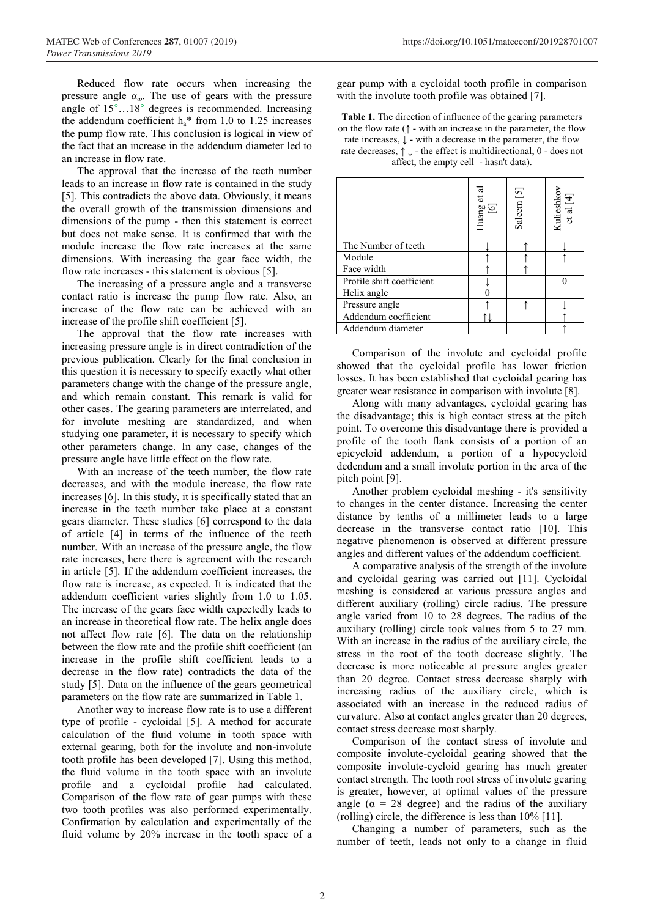Reduced flow rate occurs when increasing the pressure angle *αω*. The use of gears with the pressure angle of  $15^{\circ}$ ...18° degrees is recommended. Increasing the addendum coefficient  $h_a^*$  from 1.0 to 1.25 increases the pump flow rate. This conclusion is logical in view of the fact that an increase in the addendum diameter led to an increase in flow rate.

The approval that the increase of the teeth number leads to an increase in flow rate is contained in the study [5]. This contradicts the above data. Obviously, it means the overall growth of the transmission dimensions and dimensions of the pump - then this statement is correct but does not make sense. It is confirmed that with the module increase the flow rate increases at the same dimensions. With increasing the gear face width, the flow rate increases - this statement is obvious [5].

The increasing of a pressure angle and a transverse contact ratio is increase the pump flow rate. Also, an increase of the flow rate can be achieved with an increase of the profile shift coefficient [5].

The approval that the flow rate increases with increasing pressure angle is in direct contradiction of the previous publication. Clearly for the final conclusion in this question it is necessary to specify exactly what other parameters change with the change of the pressure angle, and which remain constant. This remark is valid for other cases. The gearing parameters are interrelated, and for involute meshing are standardized, and when studying one parameter, it is necessary to specify which other parameters change. In any case, changes of the pressure angle have little effect on the flow rate.

With an increase of the teeth number, the flow rate decreases, and with the module increase, the flow rate increases [6]. In this study, it is specifically stated that an increase in the teeth number take place at a constant gears diameter. These studies [6] correspond to the data of article [4] in terms of the influence of the teeth number. With an increase of the pressure angle, the flow rate increases, here there is agreement with the research in article [5]. If the addendum coefficient increases, the flow rate is increase, as expected. It is indicated that the addendum coefficient varies slightly from 1.0 to 1.05. The increase of the gears face width expectedly leads to an increase in theoretical flow rate. The helix angle does not affect flow rate [6]. The data on the relationship between the flow rate and the profile shift coefficient (an increase in the profile shift coefficient leads to a decrease in the flow rate) contradicts the data of the study [5]. Data on the influence of the gears geometrical parameters on the flow rate are summarized in Table 1.

Another way to increase flow rate is to use a different type of profile - cycloidal [5]. A method for accurate calculation of the fluid volume in tooth space with external gearing, both for the involute and non-involute tooth profile has been developed [7]. Using this method, the fluid volume in the tooth space with an involute profile and a cycloidal profile had calculated. Comparison of the flow rate of gear pumps with these two tooth profiles was also performed experimentally. Confirmation by calculation and experimentally of the fluid volume by 20% increase in the tooth space of a gear pump with a cycloidal tooth profile in comparison with the involute tooth profile was obtained [7].

**Table 1.** The direction of influence of the gearing parameters on the flow rate (↑ - with an increase in the parameter, the flow rate increases, ↓ - with a decrease in the parameter, the flow rate decreases, ↑ ↓ - the effect is multidirectional, 0 - does not affect, the empty cell - hasn't data).

|                           | Huang et al<br>[6] | Saleem [5] | Kulieshkov<br>et al [4] |
|---------------------------|--------------------|------------|-------------------------|
| The Number of teeth       |                    |            |                         |
| Module                    |                    |            |                         |
| Face width                |                    |            |                         |
| Profile shift coefficient |                    |            |                         |
| Helix angle               |                    |            |                         |
| Pressure angle            |                    |            |                         |
| Addendum coefficient      |                    |            |                         |
| Addendum diameter         |                    |            |                         |

Comparison of the involute and cycloidal profile showed that the cycloidal profile has lower friction losses. It has been established that cycloidal gearing has greater wear resistance in comparison with involute [8].

Along with many advantages, cycloidal gearing has the disadvantage; this is high contact stress at the pitch point. To overcome this disadvantage there is provided a profile of the tooth flank consists of a portion of an epicycloid addendum, a portion of a hypocycloid dedendum and a small involute portion in the area of the pitch point [9].

Another problem cycloidal meshing - it's sensitivity to changes in the center distance. Increasing the center distance by tenths of a millimeter leads to a large decrease in the transverse contact ratio [10]. This negative phenomenon is observed at different pressure angles and different values of the addendum coefficient.

A comparative analysis of the strength of the involute and cycloidal gearing was carried out [11]. Cycloidal meshing is considered at various pressure angles and different auxiliary (rolling) circle radius. The pressure angle varied from 10 to 28 degrees. The radius of the auxiliary (rolling) circle took values from 5 to 27 mm. With an increase in the radius of the auxiliary circle, the stress in the root of the tooth decrease slightly. The decrease is more noticeable at pressure angles greater than 20 degree. Contact stress decrease sharply with increasing radius of the auxiliary circle, which is associated with an increase in the reduced radius of curvature. Also at contact angles greater than 20 degrees, contact stress decrease most sharply.

Comparison of the contact stress of involute and composite involute-cycloidal gearing showed that the composite involute-cycloid gearing has much greater contact strength. The tooth root stress of involute gearing is greater, however, at optimal values of the pressure angle ( $\alpha = 28$  degree) and the radius of the auxiliary (rolling) circle, the difference is less than 10% [11].

Changing a number of parameters, such as the number of teeth, leads not only to a change in fluid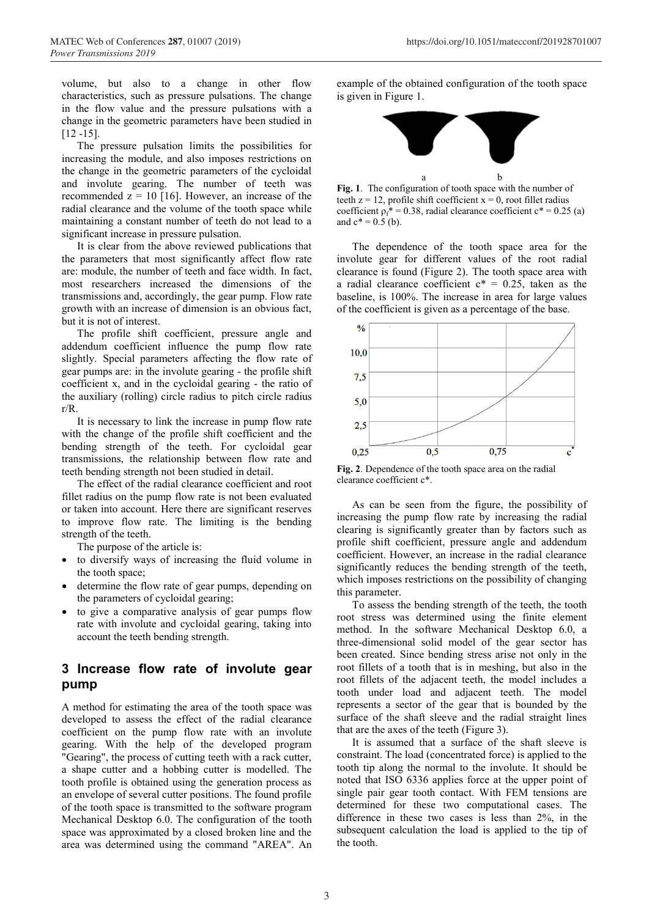volume, but also to a change in other flow characteristics, such as pressure pulsations. The change in the flow value and the pressure pulsations with a change in the geometric parameters have been studied in [12 -15].

The pressure pulsation limits the possibilities for increasing the module, and also imposes restrictions on the change in the geometric parameters of the cycloidal and involute gearing. The number of teeth was recommended  $z = 10$  [16]. However, an increase of the radial clearance and the volume of the tooth space while maintaining a constant number of teeth do not lead to a significant increase in pressure pulsation.

It is clear from the above reviewed publications that the parameters that most significantly affect flow rate are: module, the number of teeth and face width. In fact, most researchers increased the dimensions of the transmissions and, accordingly, the gear pump. Flow rate growth with an increase of dimension is an obvious fact, but it is not of interest.

The profile shift coefficient, pressure angle and addendum coefficient influence the pump flow rate slightly. Special parameters affecting the flow rate of gear pumps are: in the involute gearing - the profile shift coefficient x, and in the cycloidal gearing - the ratio of the auxiliary (rolling) circle radius to pitch circle radius r/R.

It is necessary to link the increase in pump flow rate with the change of the profile shift coefficient and the bending strength of the teeth. For cycloidal gear transmissions, the relationship between flow rate and teeth bending strength not been studied in detail.

The effect of the radial clearance coefficient and root fillet radius on the pump flow rate is not been evaluated or taken into account. Here there are significant reserves to improve flow rate. The limiting is the bending strength of the teeth.

The purpose of the article is:

- to diversify ways of increasing the fluid volume in the tooth space;
- determine the flow rate of gear pumps, depending on the parameters of cycloidal gearing;
- to give a comparative analysis of gear pumps flow rate with involute and cycloidal gearing, taking into account the teeth bending strength.

#### **3 Increase flow rate of involute gear pump**

A method for estimating the area of the tooth space was developed to assess the effect of the radial clearance coefficient on the pump flow rate with an involute gearing. With the help of the developed program "Gearing", the process of cutting teeth with a rack cutter, a shape cutter and a hobbing cutter is modelled. The tooth profile is obtained using the generation process as an envelope of several cutter positions. The found profile of the tooth space is transmitted to the software program Mechanical Desktop 6.0. The configuration of the tooth space was approximated by a closed broken line and the area was determined using the command "AREA". An

example of the obtained configuration of the tooth space is given in Figure 1.



**Fig. 1**. The configuration of tooth space with the number of teeth  $z = 12$ , profile shift coefficient  $x = 0$ , root fillet radius coefficient  $\rho_f^* = 0.38$ , radial clearance coefficient c\* = 0.25 (a) and  $c^* = 0.5$  (b).

The dependence of the tooth space area for the involute gear for different values of the root radial clearance is found (Figure 2). The tooth space area with a radial clearance coefficient  $c^* = 0.25$ , taken as the baseline, is 100%. The increase in area for large values of the coefficient is given as a percentage of the base.



**Fig. 2**. Dependence of the tooth space area on the radial clearance coefficient c\*.

As can be seen from the figure, the possibility of increasing the pump flow rate by increasing the radial clearing is significantly greater than by factors such as profile shift coefficient, pressure angle and addendum coefficient. However, an increase in the radial clearance significantly reduces the bending strength of the teeth, which imposes restrictions on the possibility of changing this parameter.

To assess the bending strength of the teeth, the tooth root stress was determined using the finite element method. In the software Mechanical Desktop 6.0, a three-dimensional solid model of the gear sector has been created. Since bending stress arise not only in the root fillets of a tooth that is in meshing, but also in the root fillets of the adjacent teeth, the model includes a tooth under load and adjacent teeth. The model represents a sector of the gear that is bounded by the surface of the shaft sleeve and the radial straight lines that are the axes of the teeth (Figure 3).

It is assumed that a surface of the shaft sleeve is constraint. The load (concentrated force) is applied to the tooth tip along the normal to the involute. It should be noted that ISO 6336 applies force at the upper point of single pair gear tooth contact. With FEM tensions are determined for these two computational cases. The difference in these two cases is less than 2%, in the subsequent calculation the load is applied to the tip of the tooth.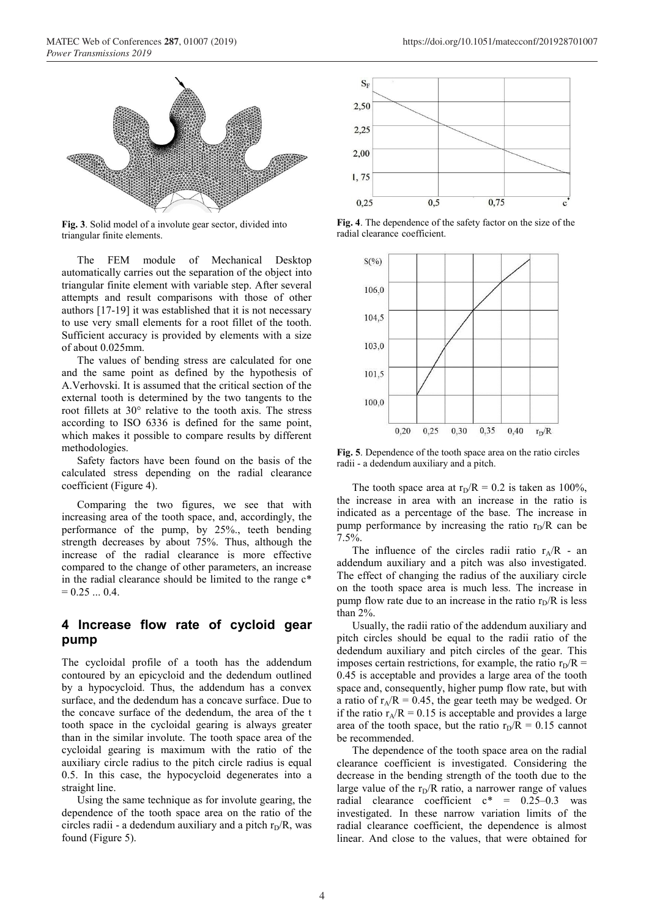

**Fig. 3**. Solid model of a involute gear sector, divided into triangular finite elements.

The FEM module of Mechanical Desktop automatically carries out the separation of the object into triangular finite element with variable step. After several attempts and result comparisons with those of other authors [17-19] it was established that it is not necessary to use very small elements for a root fillet of the tooth. Sufficient accuracy is provided by elements with a size of about 0.025mm.

The values of bending stress are calculated for one and the same point as defined by the hypothesis of A.Verhovski. It is assumed that the critical section of the external tooth is determined by the two tangents to the root fillets at 30° relative to the tooth axis. The stress according to ISO 6336 is defined for the same point, which makes it possible to compare results by different methodologies.

Safety factors have been found on the basis of the calculated stress depending on the radial clearance coefficient (Figure 4).

Comparing the two figures, we see that with increasing area of the tooth space, and, accordingly, the performance of the pump, by 25%., teeth bending strength decreases by about 75%. Thus, although the increase of the radial clearance is more effective compared to the change of other parameters, an increase in the radial clearance should be limited to the range с\*  $= 0.25 ... 0.4.$ 

## **4 Increase flow rate of cycloid gear pump**

The cycloidal profile of a tooth has the addendum contoured by an epicycloid and the dedendum outlined by a hypocycloid. Thus, the addendum has a convex surface, and the dedendum has a concave surface. Due to the concave surface of the dedendum, the area of the t tooth space in the cycloidal gearing is always greater than in the similar involute. The tooth space area of the cycloidal gearing is maximum with the ratio of the auxiliary circle radius to the pitch circle radius is equal 0.5. In this case, the hypocycloid degenerates into a straight line.

Using the same technique as for involute gearing, the dependence of the tooth space area on the ratio of the circles radii - a dedendum auxiliary and a pitch  $r_D/R$ , was found (Figure 5).



**Fig. 4**. The dependence of the safety factor on the size of the radial clearance coefficient.



**Fig. 5**. Dependence of the tooth space area on the ratio circles radii - a dedendum auxiliary and a pitch.

The tooth space area at  $r_D/R = 0.2$  is taken as 100%, the increase in area with an increase in the ratio is indicated as a percentage of the base. The increase in pump performance by increasing the ratio  $r_D/R$  can be 7.5%.

The influence of the circles radii ratio  $r_A/R$  - an addendum auxiliary and a pitch was also investigated. The effect of changing the radius of the auxiliary circle on the tooth space area is much less. The increase in pump flow rate due to an increase in the ratio  $r_D/R$  is less than 2%.

Usually, the radii ratio of the addendum auxiliary and pitch circles should be equal to the radii ratio of the dedendum auxiliary and pitch circles of the gear. This imposes certain restrictions, for example, the ratio  $r_D/R =$ 0.45 is acceptable and provides a large area of the tooth space and, consequently, higher pump flow rate, but with a ratio of  $r_A/R = 0.45$ , the gear teeth may be wedged. Or if the ratio  $r_A/R = 0.15$  is acceptable and provides a large area of the tooth space, but the ratio  $r_D/R = 0.15$  cannot be recommended.

The dependence of the tooth space area on the radial clearance coefficient is investigated. Considering the decrease in the bending strength of the tooth due to the large value of the  $r_D/R$  ratio, a narrower range of values radial clearance coefficient  $c^* = 0.25-0.3$  was investigated. In these narrow variation limits of the radial clearance coefficient, the dependence is almost linear. And close to the values, that were obtained for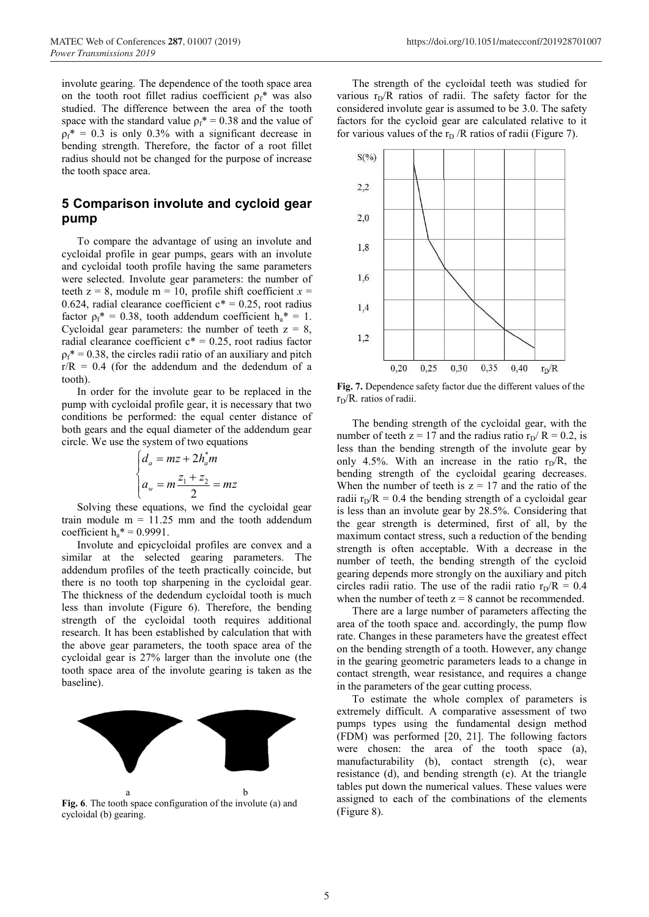involute gearing. The dependence of the tooth space area on the tooth root fillet radius coefficient  $\rho_f^*$  was also studied. The difference between the area of the tooth space with the standard value  $\rho_f^* = 0.38$  and the value of  $\rho_f^* = 0.3$  is only 0.3% with a significant decrease in bending strength. Therefore, the factor of a root fillet radius should not be changed for the purpose of increase the tooth space area.

## **5 Comparison involute and cycloid gear pump**

To compare the advantage of using an involute and cycloidal profile in gear pumps, gears with an involute and cycloidal tooth profile having the same parameters were selected. Involute gear parameters: the number of teeth  $z = 8$ , module m = 10, profile shift coefficient  $x =$ 0.624, radial clearance coefficient  $c^* = 0.25$ , root radius factor  $\rho_f^* = 0.38$ , tooth addendum coefficient  $h_a^* = 1$ . Cycloidal gear parameters: the number of teeth  $z = 8$ , radial clearance coefficient  $c^* = 0.25$ , root radius factor  $\rho_f^* = 0.38$ , the circles radii ratio of an auxiliary and pitch  $r/R = 0.4$  (for the addendum and the dedendum of a tooth).

In order for the involute gear to be replaced in the pump with cycloidal profile gear, it is necessary that two conditions be performed: the equal center distance of both gears and the equal diameter of the addendum gear circle. We use the system of two equations

$$
\begin{cases}\n d_a = mz + 2h_a^*m \\
a_w = m \frac{z_1 + z_2}{2} = mz\n\end{cases}
$$

Solving these equations, we find the cycloidal gear train module  $m = 11.25$  mm and the tooth addendum coefficient  $h_a^* = 0.9991$ .

Involute and epicycloidal profiles are convex and a similar at the selected gearing parameters. The addendum profiles of the teeth practically coincide, but there is no tooth top sharpening in the cycloidal gear. The thickness of the dedendum cycloidal tooth is much less than involute (Figure 6). Therefore, the bending strength of the cycloidal tooth requires additional research. It has been established by calculation that with the above gear parameters, the tooth space area of the cycloidal gear is 27% larger than the involute one (the tooth space area of the involute gearing is taken as the baseline).



**Fig. 6**. The tooth space configuration of the involute (a) and cycloidal (b) gearing.

The strength of the cycloidal teeth was studied for various  $r_D/R$  ratios of radii. The safety factor for the considered involute gear is assumed to be 3.0. The safety factors for the cycloid gear are calculated relative to it for various values of the  $r_D$  /R ratios of radii (Figure 7).



**Fig. 7.** Dependence safety factor due the different values of the r<sub>D</sub>/R. ratios of radii.

The bending strength of the cycloidal gear, with the number of teeth  $z = 17$  and the radius ratio  $r_D/R = 0.2$ , is less than the bending strength of the involute gear by only 4.5%. With an increase in the ratio  $r_D/R$ , the bending strength of the cycloidal gearing decreases. When the number of teeth is  $z = 17$  and the ratio of the radii  $r_D/R = 0.4$  the bending strength of a cycloidal gear is less than an involute gear by 28.5%. Considering that the gear strength is determined, first of all, by the maximum contact stress, such a reduction of the bending strength is often acceptable. With a decrease in the number of teeth, the bending strength of the cycloid gearing depends more strongly on the auxiliary and pitch circles radii ratio. The use of the radii ratio  $r_D/R = 0.4$ when the number of teeth  $z = 8$  cannot be recommended.

There are a large number of parameters affecting the area of the tooth space and. accordingly, the pump flow rate. Changes in these parameters have the greatest effect on the bending strength of a tooth. However, any change in the gearing geometric parameters leads to a change in contact strength, wear resistance, and requires a change in the parameters of the gear cutting process.

To estimate the whole complex of parameters is extremely difficult. A comparative assessment of two pumps types using the fundamental design method (FDM) was performed [20, 21]. The following factors were chosen: the area of the tooth space (a), manufacturability (b), contact strength (c), wear resistance (d), and bending strength (e). At the triangle tables put down the numerical values. These values were assigned to each of the combinations of the elements (Figure 8).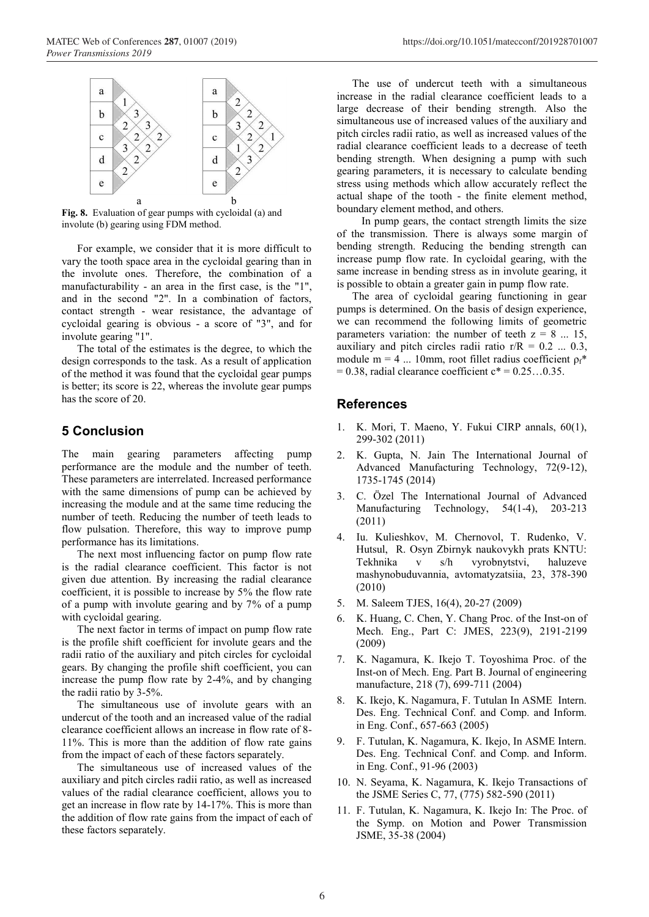

**Fig. 8.** Evaluation of gear pumps with cycloidal (a) and involute (b) gearing using FDM method.

For example, we consider that it is more difficult to vary the tooth space area in the cycloidal gearing than in the involute ones. Therefore, the combination of a manufacturability - an area in the first case, is the "1", and in the second "2". In a combination of factors, contact strength - wear resistance, the advantage of cycloidal gearing is obvious - a score of "3", and for involute gearing "1".

The total of the estimates is the degree, to which the design corresponds to the task. As a result of application of the method it was found that the cycloidal gear pumps is better; its score is 22, whereas the involute gear pumps has the score of 20.

## **5 Conclusion**

The main gearing parameters affecting pump performance are the module and the number of teeth. These parameters are interrelated. Increased performance with the same dimensions of pump can be achieved by increasing the module and at the same time reducing the number of teeth. Reducing the number of teeth leads to flow pulsation. Therefore, this way to improve pump performance has its limitations.

The next most influencing factor on pump flow rate is the radial clearance coefficient. This factor is not given due attention. By increasing the radial clearance coefficient, it is possible to increase by 5% the flow rate of a pump with involute gearing and by 7% of a pump with cycloidal gearing.

The next factor in terms of impact on pump flow rate is the profile shift coefficient for involute gears and the radii ratio of the auxiliary and pitch circles for cycloidal gears. By changing the profile shift coefficient, you can increase the pump flow rate by 2-4%, and by changing the radii ratio by 3-5%.

The simultaneous use of involute gears with an undercut of the tooth and an increased value of the radial clearance coefficient allows an increase in flow rate of 8- 11%. This is more than the addition of flow rate gains from the impact of each of these factors separately.

The simultaneous use of increased values of the auxiliary and pitch circles radii ratio, as well as increased values of the radial clearance coefficient, allows you to get an increase in flow rate by 14-17%. This is more than the addition of flow rate gains from the impact of each of these factors separately.

The use of undercut teeth with a simultaneous increase in the radial clearance coefficient leads to a large decrease of their bending strength. Also the simultaneous use of increased values of the auxiliary and pitch circles radii ratio, as well as increased values of the radial clearance coefficient leads to a decrease of teeth bending strength. When designing a pump with such gearing parameters, it is necessary to calculate bending stress using methods which allow accurately reflect the actual shape of the tooth - the finite element method, boundary element method, and others.

In pump gears, the contact strength limits the size of the transmission. There is always some margin of bending strength. Reducing the bending strength can increase pump flow rate. In cycloidal gearing, with the same increase in bending stress as in involute gearing, it is possible to obtain a greater gain in pump flow rate.

The area of cycloidal gearing functioning in gear pumps is determined. On the basis of design experience, we can recommend the following limits of geometric parameters variation: the number of teeth  $z = 8$  ... 15, auxiliary and pitch circles radii ratio  $r/R = 0.2$  ... 0.3, module m = 4 ... 10mm, root fillet radius coefficient  $\rho_f^*$  $= 0.38$ , radial clearance coefficient c\*  $= 0.25...0.35$ .

#### **References**

- 1. K. Mori, T. Maeno, Y. Fukui CIRP annals, 60(1), 299-302 (2011)
- 2. K. Gupta, N. Jain The International Journal of Advanced Manufacturing Technology, 72(9-12), 1735-1745 (2014)
- 3. C. Özel The International Journal of Advanced Manufacturing Technology, 54(1-4), 203-213 (2011)
- 4. Iu. Kulieshkov, M. Chernovol, T. Rudenko, V. Hutsul, R. Osyn Zbirnyk naukovykh prats KNTU: Tekhnika v s/h vyrobnytstvi, haluzeve mashynobuduvannia, avtomatyzatsiia, 23, 378-390 (2010)
- 5. M. Saleem TJES, 16(4), 20-27 (2009)
- 6. K. Huang, C. Chen, Y. Chang Proc. of the Inst-on of Mech. Eng., Part C: JMES, 223(9), 2191-2199 (2009)
- 7. K. Nagamura, K. Ikejo T. Toyoshima Proc. of the Inst-on of Mech. Eng. Part B. Journal of engineering manufacture, 218 (7), 699-711 (2004)
- 8. K. Ikejo, K. Nagamura, F. Tutulan In ASME Intern. Des. Eng. Technical Conf. and Comp. and Inform. in Eng. Conf., 657-663 (2005)
- 9. F. Tutulan, K. Nagamura, K. Ikejo, In ASME Intern. Des. Eng. Technical Conf. and Comp. and Inform. in Eng. Conf., 91-96 (2003)
- 10. N. Seyama, K. Nagamura, K. Ikejo Transactions of the JSME Series C, 77, (775) 582-590 (2011)
- 11. F. Tutulan, K. Nagamura, K. Ikejo In: The Proc. of the Symp. on Motion and Power Transmission JSME, 35-38 (2004)